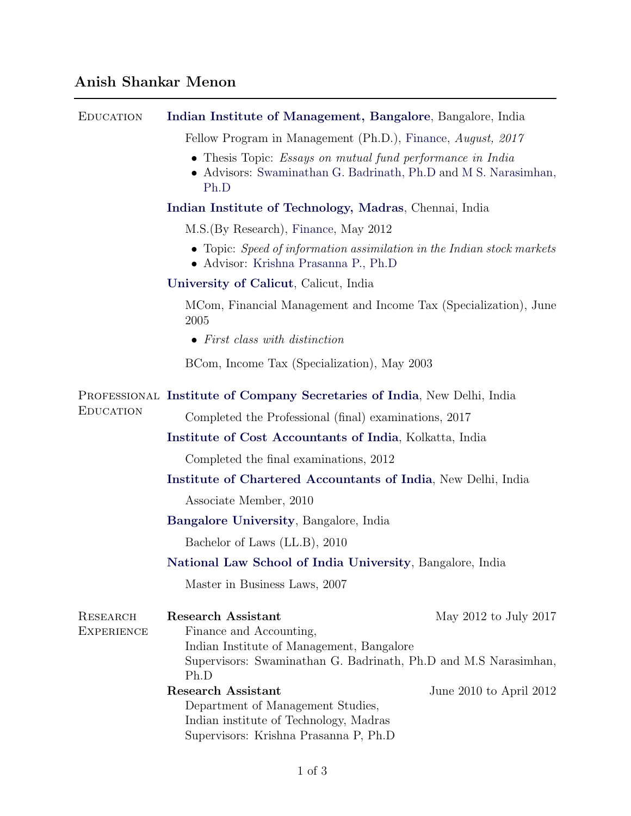## Anish Shankar Menon

| <b>EDUCATION</b>       | Indian Institute of Management, Bangalore, Bangalore, India                                                                                                                                           |
|------------------------|-------------------------------------------------------------------------------------------------------------------------------------------------------------------------------------------------------|
|                        | Fellow Program in Management (Ph.D.), Finance, August, 2017                                                                                                                                           |
|                        | • Thesis Topic: <i>Essays on mutual fund performance in India</i><br>• Advisors: Swaminathan G. Badrinath, Ph.D and M S. Narasimhan,<br>Ph.D                                                          |
|                        | Indian Institute of Technology, Madras, Chennai, India                                                                                                                                                |
|                        | M.S. (By Research), Finance, May 2012                                                                                                                                                                 |
|                        | • Topic: Speed of information assimilation in the Indian stock markets<br>• Advisor: Krishna Prasanna P., Ph.D                                                                                        |
|                        | University of Calicut, Calicut, India                                                                                                                                                                 |
|                        | MCom, Financial Management and Income Tax (Specialization), June<br>2005                                                                                                                              |
|                        | $\bullet$ First class with distinction                                                                                                                                                                |
|                        | BCom, Income Tax (Specialization), May 2003                                                                                                                                                           |
| Education              | PROFESSIONAL Institute of Company Secretaries of India, New Delhi, India                                                                                                                              |
|                        | Completed the Professional (final) examinations, 2017                                                                                                                                                 |
|                        | Institute of Cost Accountants of India, Kolkatta, India                                                                                                                                               |
|                        | Completed the final examinations, 2012                                                                                                                                                                |
|                        | Institute of Chartered Accountants of India, New Delhi, India                                                                                                                                         |
|                        | Associate Member, 2010                                                                                                                                                                                |
|                        | <b>Bangalore University, Bangalore, India</b>                                                                                                                                                         |
|                        | Bachelor of Laws (LL.B), 2010                                                                                                                                                                         |
|                        | National Law School of India University, Bangalore, India                                                                                                                                             |
|                        | Master in Business Laws, 2007                                                                                                                                                                         |
| RESEARCH<br>EXPERIENCE | <b>Research Assistant</b><br>May 2012 to July 2017<br>Finance and Accounting,<br>Indian Institute of Management, Bangalore<br>Supervisors: Swaminathan G. Badrinath, Ph.D and M.S Narasimhan,<br>Ph.D |
|                        | <b>Research Assistant</b><br>June 2010 to April 2012<br>Department of Management Studies,<br>Indian institute of Technology, Madras<br>Supervisors: Krishna Prasanna P, Ph.D                          |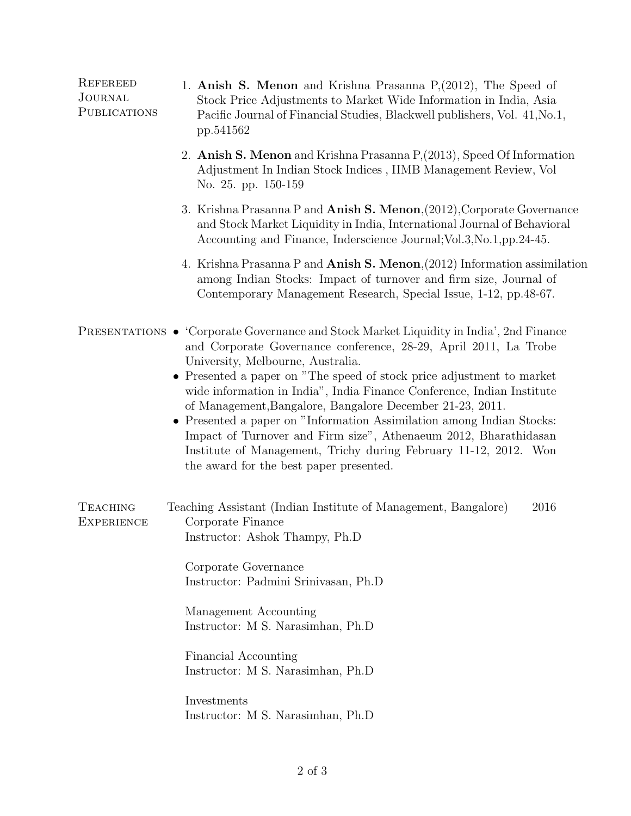| <b>REFEREED</b><br>JOURNAL<br>PUBLICATIONS | 1. Anish S. Menon and Krishna Prasanna P, (2012), The Speed of<br>Stock Price Adjustments to Market Wide Information in India, Asia<br>Pacific Journal of Financial Studies, Blackwell publishers, Vol. 41, No.1,<br>pp.541562                                                                                                                                                                                                                                                                                                                                                                                                                                                     |
|--------------------------------------------|------------------------------------------------------------------------------------------------------------------------------------------------------------------------------------------------------------------------------------------------------------------------------------------------------------------------------------------------------------------------------------------------------------------------------------------------------------------------------------------------------------------------------------------------------------------------------------------------------------------------------------------------------------------------------------|
|                                            | 2. Anish S. Menon and Krishna Prasanna P, (2013), Speed Of Information<br>Adjustment In Indian Stock Indices, IIMB Management Review, Vol<br>No. 25. pp. 150-159                                                                                                                                                                                                                                                                                                                                                                                                                                                                                                                   |
|                                            | 3. Krishna Prasanna P and Anish S. Menon, (2012), Corporate Governance<br>and Stock Market Liquidity in India, International Journal of Behavioral<br>Accounting and Finance, Inderscience Journal; Vol. 3, No. 1, pp. 24-45.                                                                                                                                                                                                                                                                                                                                                                                                                                                      |
|                                            | 4. Krishna Prasanna P and <b>Anish S. Menon</b> , (2012) Information assimilation<br>among Indian Stocks: Impact of turnover and firm size, Journal of<br>Contemporary Management Research, Special Issue, 1-12, pp.48-67.                                                                                                                                                                                                                                                                                                                                                                                                                                                         |
|                                            | <b>PRESENTATIONS</b> • Corporate Governance and Stock Market Liquidity in India', 2nd Finance<br>and Corporate Governance conference, 28-29, April 2011, La Trobe<br>University, Melbourne, Australia.<br>• Presented a paper on "The speed of stock price adjustment to market<br>wide information in India", India Finance Conference, Indian Institute<br>of Management, Bangalore, Bangalore December 21-23, 2011.<br>• Presented a paper on "Information Assimilation among Indian Stocks:<br>Impact of Turnover and Firm size", Athenaeum 2012, Bharathidasan<br>Institute of Management, Trichy during February 11-12, 2012. Won<br>the award for the best paper presented. |
| <b>TEACHING</b><br><b>EXPERIENCE</b>       | Teaching Assistant (Indian Institute of Management, Bangalore)<br>2016<br>Corporate Finance<br>Instructor: Ashok Thampy, Ph.D<br>Corporate Governance<br>Instructor: Padmini Srinivasan, Ph.D<br>Management Accounting<br>Instructor: M S. Narasimhan, Ph.D<br>Financial Accounting<br>Instructor: M S. Narasimhan, Ph.D<br>Investments<br>Instructor: M S. Narasimhan, Ph.D                                                                                                                                                                                                                                                                                                       |
|                                            |                                                                                                                                                                                                                                                                                                                                                                                                                                                                                                                                                                                                                                                                                    |